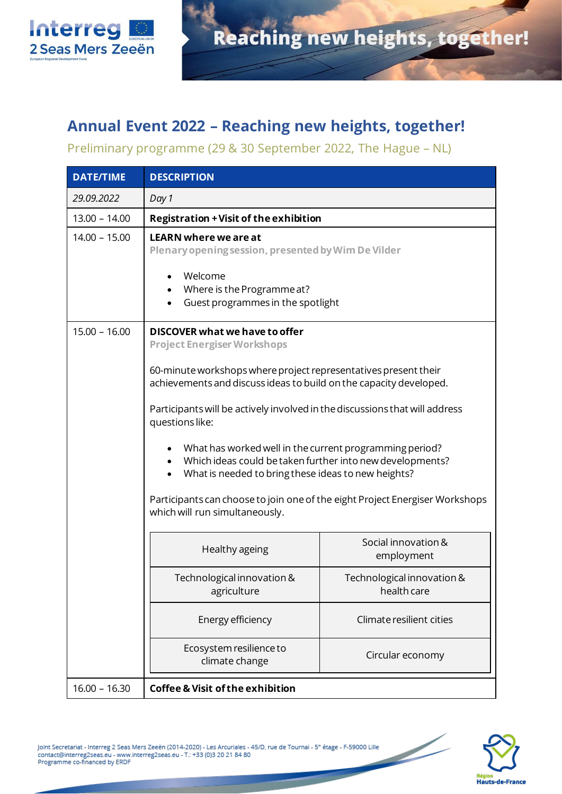

## **Annual Event 2022 – Reaching new heights, together!**

Preliminary programme (29 & 30 September 2022, The Hague – NL)

| <b>DATE/TIME</b> | <b>DESCRIPTION</b>                                                                                                                                                                                                                                                                                                                                                                                                                                                                                                                                                                                               |                                           |
|------------------|------------------------------------------------------------------------------------------------------------------------------------------------------------------------------------------------------------------------------------------------------------------------------------------------------------------------------------------------------------------------------------------------------------------------------------------------------------------------------------------------------------------------------------------------------------------------------------------------------------------|-------------------------------------------|
| 29.09.2022       | Day 1                                                                                                                                                                                                                                                                                                                                                                                                                                                                                                                                                                                                            |                                           |
| $13.00 - 14.00$  | <b>Registration + Visit of the exhibition</b>                                                                                                                                                                                                                                                                                                                                                                                                                                                                                                                                                                    |                                           |
| $14.00 - 15.00$  | <b>LEARN where we are at</b><br>Plenary opening session, presented by Wim De Vilder<br>Welcome<br>Where is the Programme at?<br>Guest programmes in the spotlight                                                                                                                                                                                                                                                                                                                                                                                                                                                |                                           |
| $15.00 - 16.00$  | DISCOVER what we have to offer<br><b>Project Energiser Workshops</b><br>60-minute workshops where project representatives present their<br>achievements and discuss ideas to build on the capacity developed.<br>Participants will be actively involved in the discussions that will address<br>questions like:<br>What has worked well in the current programming period?<br>Which ideas could be taken further into new developments?<br>What is needed to bring these ideas to new heights?<br>Participants can choose to join one of the eight Project Energiser Workshops<br>which will run simultaneously. |                                           |
|                  | Healthy ageing                                                                                                                                                                                                                                                                                                                                                                                                                                                                                                                                                                                                   | Social innovation &<br>employment         |
|                  | Technological innovation &<br>agriculture                                                                                                                                                                                                                                                                                                                                                                                                                                                                                                                                                                        | Technological innovation &<br>health care |
|                  | Energy efficiency                                                                                                                                                                                                                                                                                                                                                                                                                                                                                                                                                                                                | Climate resilient cities                  |
|                  | Ecosystem resilience to<br>climate change                                                                                                                                                                                                                                                                                                                                                                                                                                                                                                                                                                        | Circular economy                          |
| $16.00 - 16.30$  | <b>Coffee &amp; Visit of the exhibition</b>                                                                                                                                                                                                                                                                                                                                                                                                                                                                                                                                                                      |                                           |



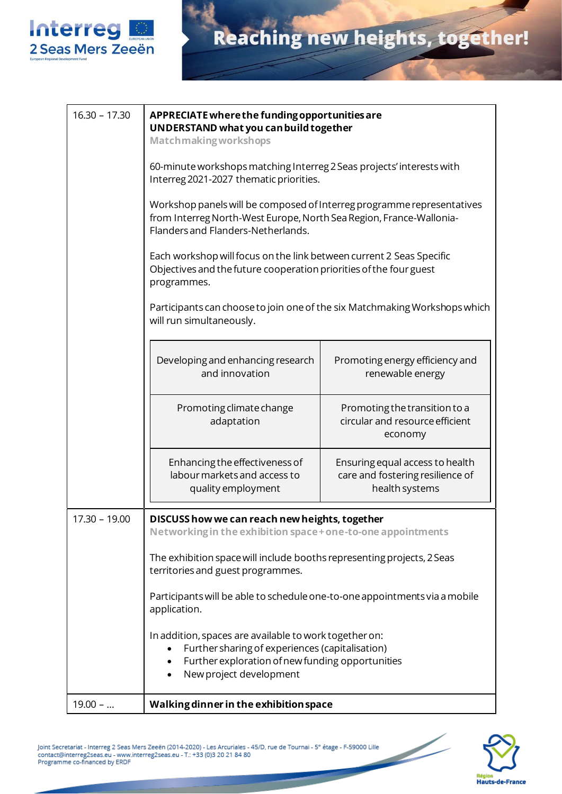

| $16.30 - 17.30$ | APPRECIATE where the funding opportunities are<br>UNDERSTAND what you can build together<br><b>Matchmaking workshops</b><br>60-minute workshops matching Interreg 2 Seas projects' interests with<br>Interreg 2021-2027 thematic priorities.<br>Workshop panels will be composed of Interreg programme representatives<br>from Interreg North-West Europe, North Sea Region, France-Wallonia-<br>Flanders and Flanders-Netherlands.<br>Each workshop will focus on the link between current 2 Seas Specific<br>Objectives and the future cooperation priorities of the four guest<br>programmes. |                                                                                       |  |
|-----------------|--------------------------------------------------------------------------------------------------------------------------------------------------------------------------------------------------------------------------------------------------------------------------------------------------------------------------------------------------------------------------------------------------------------------------------------------------------------------------------------------------------------------------------------------------------------------------------------------------|---------------------------------------------------------------------------------------|--|
|                 |                                                                                                                                                                                                                                                                                                                                                                                                                                                                                                                                                                                                  |                                                                                       |  |
|                 |                                                                                                                                                                                                                                                                                                                                                                                                                                                                                                                                                                                                  |                                                                                       |  |
|                 |                                                                                                                                                                                                                                                                                                                                                                                                                                                                                                                                                                                                  |                                                                                       |  |
|                 |                                                                                                                                                                                                                                                                                                                                                                                                                                                                                                                                                                                                  |                                                                                       |  |
|                 | Participants can choose to join one of the six Matchmaking Workshops which<br>will run simultaneously.                                                                                                                                                                                                                                                                                                                                                                                                                                                                                           |                                                                                       |  |
|                 | Developing and enhancing research<br>and innovation                                                                                                                                                                                                                                                                                                                                                                                                                                                                                                                                              | Promoting energy efficiency and<br>renewable energy                                   |  |
|                 | Promoting climate change<br>adaptation                                                                                                                                                                                                                                                                                                                                                                                                                                                                                                                                                           | Promoting the transition to a<br>circular and resource efficient<br>economy           |  |
|                 | Enhancing the effectiveness of<br>labour markets and access to<br>quality employment                                                                                                                                                                                                                                                                                                                                                                                                                                                                                                             | Ensuring equal access to health<br>care and fostering resilience of<br>health systems |  |
| $17.30 - 19.00$ | DISCUSS how we can reach new heights, together                                                                                                                                                                                                                                                                                                                                                                                                                                                                                                                                                   |                                                                                       |  |
|                 | Networking in the exhibition space + one-to-one appointments                                                                                                                                                                                                                                                                                                                                                                                                                                                                                                                                     |                                                                                       |  |
|                 | The exhibition space will include booths representing projects, 2 Seas<br>territories and guest programmes.                                                                                                                                                                                                                                                                                                                                                                                                                                                                                      |                                                                                       |  |
|                 | Participants will be able to schedule one-to-one appointments via a mobile<br>application.                                                                                                                                                                                                                                                                                                                                                                                                                                                                                                       |                                                                                       |  |
|                 | In addition, spaces are available to work together on:<br>Further sharing of experiences (capitalisation)<br>Further exploration of new funding opportunities<br>New project development                                                                                                                                                                                                                                                                                                                                                                                                         |                                                                                       |  |
| $19.00 - $      | Walking dinner in the exhibition space                                                                                                                                                                                                                                                                                                                                                                                                                                                                                                                                                           |                                                                                       |  |

Joint Secretariat - Interreg 2 Seas Mers Zeeën (2014-2020) - Les Arcuriales - 45/D, rue de Tournai - 5° étage - F-59000 Lille<br>contact@interreg2seas.eu - www.interreg2seas.eu - T.: +33 (0)3 20 21 84 80<br>Programme co-financed



<u>Single Station of the Contract of the Contract of the Contract of the Contract of the Contract of the Contract of the Contract of the Contract of the Contract of the Contract of the Contract of the Contract of the Contrac</u>